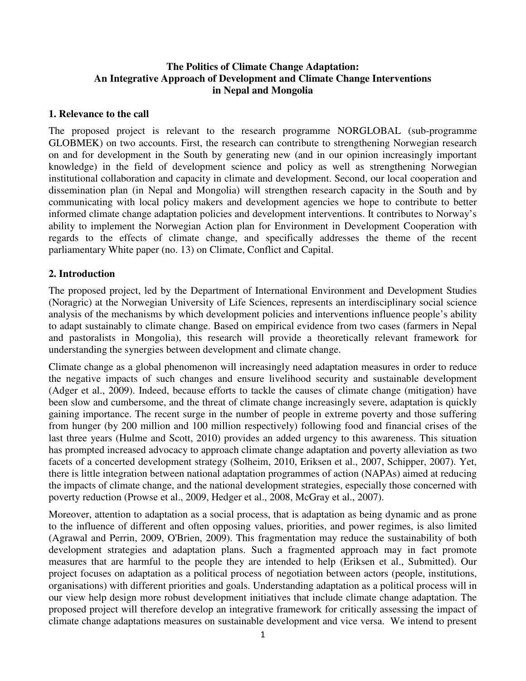## **The Politics of Climate Change Adaptation: An Integrative Approach of Development and Climate Change Interventions in Nepal and Mongolia**

### **1. Relevance to the call**

The proposed project is relevant to the research programme NORGLOBAL (sub-programme GLOBMEK) on two accounts. First, the research can contribute to strengthening Norwegian research on and for development in the South by generating new (and in our opinion increasingly important knowledge) in the field of development science and policy as well as strengthening Norwegian institutional collaboration and capacity in climate and development. Second, our local cooperation and dissemination plan (in Nepal and Mongolia) will strengthen research capacity in the South and by communicating with local policy makers and development agencies we hope to contribute to better informed climate change adaptation policies and development interventions. It contributes to Norway's ability to implement the Norwegian Action plan for Environment in Development Cooperation with regards to the effects of climate change, and specifically addresses the theme of the recent parliamentary White paper (no. 13) on Climate, Conflict and Capital.

### **2. Introduction**

The proposed project, led by the Department of International Environment and Development Studies (Noragric) at the Norwegian University of Life Sciences, represents an interdisciplinary social science analysis of the mechanisms by which development policies and interventions influence people's ability to adapt sustainably to climate change. Based on empirical evidence from two cases (farmers in Nepal and pastoralists in Mongolia), this research will provide a theoretically relevant framework for understanding the synergies between development and climate change.

Climate change as a global phenomenon will increasingly need adaptation measures in order to reduce the negative impacts of such changes and ensure livelihood security and sustainable development (Adger et al., 2009). Indeed, because efforts to tackle the causes of climate change (mitigation) have been slow and cumbersome, and the threat of climate change increasingly severe, adaptation is quickly gaining importance. The recent surge in the number of people in extreme poverty and those suffering from hunger (by 200 million and 100 million respectively) following food and financial crises of the last three years (Hulme and Scott, 2010) provides an added urgency to this awareness. This situation has prompted increased advocacy to approach climate change adaptation and poverty alleviation as two facets of a concerted development strategy (Solheim, 2010, Eriksen et al., 2007, Schipper, 2007). Yet, there is little integration between national adaptation programmes of action (NAPAs) aimed at reducing the impacts of climate change, and the national development strategies, especially those concerned with poverty reduction (Prowse et al., 2009, Hedger et al., 2008, McGray et al., 2007).

Moreover, attention to adaptation as a social process, that is adaptation as being dynamic and as prone to the influence of different and often opposing values, priorities, and power regimes, is also limited (Agrawal and Perrin, 2009, O'Brien, 2009). This fragmentation may reduce the sustainability of both development strategies and adaptation plans. Such a fragmented approach may in fact promote measures that are harmful to the people they are intended to help (Eriksen et al., Submitted). Our project focuses on adaptation as a political process of negotiation between actors (people, institutions, organisations) with different priorities and goals. Understanding adaptation as a political process will in our view help design more robust development initiatives that include climate change adaptation. The proposed project will therefore develop an integrative framework for critically assessing the impact of climate change adaptations measures on sustainable development and vice versa. We intend to present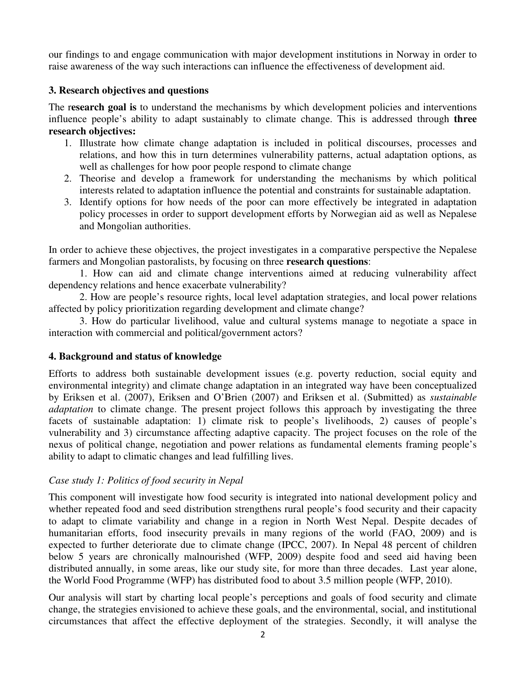our findings to and engage communication with major development institutions in Norway in order to raise awareness of the way such interactions can influence the effectiveness of development aid.

## **3. Research objectives and questions**

The r**esearch goal is** to understand the mechanisms by which development policies and interventions influence people's ability to adapt sustainably to climate change. This is addressed through **three research objectives:**

- 1. Illustrate how climate change adaptation is included in political discourses, processes and relations, and how this in turn determines vulnerability patterns, actual adaptation options, as well as challenges for how poor people respond to climate change
- 2. Theorise and develop a framework for understanding the mechanisms by which political interests related to adaptation influence the potential and constraints for sustainable adaptation.
- 3. Identify options for how needs of the poor can more effectively be integrated in adaptation policy processes in order to support development efforts by Norwegian aid as well as Nepalese and Mongolian authorities.

In order to achieve these objectives, the project investigates in a comparative perspective the Nepalese farmers and Mongolian pastoralists, by focusing on three **research questions**:

 1. How can aid and climate change interventions aimed at reducing vulnerability affect dependency relations and hence exacerbate vulnerability?

 2. How are people's resource rights, local level adaptation strategies, and local power relations affected by policy prioritization regarding development and climate change?

3. How do particular livelihood, value and cultural systems manage to negotiate a space in interaction with commercial and political/government actors?

# **4. Background and status of knowledge**

Efforts to address both sustainable development issues (e.g. poverty reduction, social equity and environmental integrity) and climate change adaptation in an integrated way have been conceptualized by Eriksen et al. (2007), Eriksen and O'Brien (2007) and Eriksen et al. (Submitted) as *sustainable adaptation* to climate change. The present project follows this approach by investigating the three facets of sustainable adaptation: 1) climate risk to people's livelihoods, 2) causes of people's vulnerability and 3) circumstance affecting adaptive capacity. The project focuses on the role of the nexus of political change, negotiation and power relations as fundamental elements framing people's ability to adapt to climatic changes and lead fulfilling lives.

# *Case study 1: Politics of food security in Nepal*

This component will investigate how food security is integrated into national development policy and whether repeated food and seed distribution strengthens rural people's food security and their capacity to adapt to climate variability and change in a region in North West Nepal. Despite decades of humanitarian efforts, food insecurity prevails in many regions of the world (FAO, 2009) and is expected to further deteriorate due to climate change (IPCC, 2007). In Nepal 48 percent of children below 5 years are chronically malnourished (WFP, 2009) despite food and seed aid having been distributed annually, in some areas, like our study site, for more than three decades. Last year alone, the World Food Programme (WFP) has distributed food to about 3.5 million people (WFP, 2010).

Our analysis will start by charting local people's perceptions and goals of food security and climate change, the strategies envisioned to achieve these goals, and the environmental, social, and institutional circumstances that affect the effective deployment of the strategies. Secondly, it will analyse the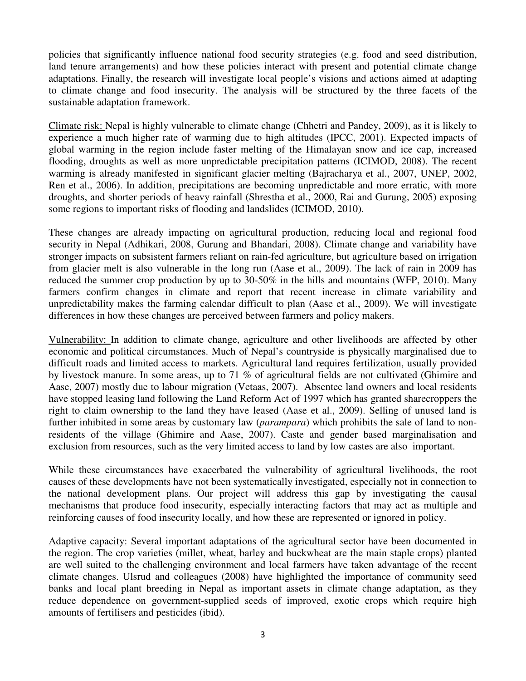policies that significantly influence national food security strategies (e.g. food and seed distribution, land tenure arrangements) and how these policies interact with present and potential climate change adaptations. Finally, the research will investigate local people's visions and actions aimed at adapting to climate change and food insecurity. The analysis will be structured by the three facets of the sustainable adaptation framework.

Climate risk: Nepal is highly vulnerable to climate change (Chhetri and Pandey, 2009), as it is likely to experience a much higher rate of warming due to high altitudes (IPCC, 2001). Expected impacts of global warming in the region include faster melting of the Himalayan snow and ice cap, increased flooding, droughts as well as more unpredictable precipitation patterns (ICIMOD, 2008). The recent warming is already manifested in significant glacier melting (Bajracharya et al., 2007, UNEP, 2002, Ren et al., 2006). In addition, precipitations are becoming unpredictable and more erratic, with more droughts, and shorter periods of heavy rainfall (Shrestha et al., 2000, Rai and Gurung, 2005) exposing some regions to important risks of flooding and landslides (ICIMOD, 2010).

These changes are already impacting on agricultural production, reducing local and regional food security in Nepal (Adhikari, 2008, Gurung and Bhandari, 2008). Climate change and variability have stronger impacts on subsistent farmers reliant on rain-fed agriculture, but agriculture based on irrigation from glacier melt is also vulnerable in the long run (Aase et al., 2009). The lack of rain in 2009 has reduced the summer crop production by up to 30-50% in the hills and mountains (WFP, 2010). Many farmers confirm changes in climate and report that recent increase in climate variability and unpredictability makes the farming calendar difficult to plan (Aase et al., 2009). We will investigate differences in how these changes are perceived between farmers and policy makers.

Vulnerability: In addition to climate change, agriculture and other livelihoods are affected by other economic and political circumstances. Much of Nepal's countryside is physically marginalised due to difficult roads and limited access to markets. Agricultural land requires fertilization, usually provided by livestock manure. In some areas, up to 71 % of agricultural fields are not cultivated (Ghimire and Aase, 2007) mostly due to labour migration (Vetaas, 2007). Absentee land owners and local residents have stopped leasing land following the Land Reform Act of 1997 which has granted sharecroppers the right to claim ownership to the land they have leased (Aase et al., 2009). Selling of unused land is further inhibited in some areas by customary law (*parampara*) which prohibits the sale of land to nonresidents of the village (Ghimire and Aase, 2007). Caste and gender based marginalisation and exclusion from resources, such as the very limited access to land by low castes are also important.

While these circumstances have exacerbated the vulnerability of agricultural livelihoods, the root causes of these developments have not been systematically investigated, especially not in connection to the national development plans. Our project will address this gap by investigating the causal mechanisms that produce food insecurity, especially interacting factors that may act as multiple and reinforcing causes of food insecurity locally, and how these are represented or ignored in policy.

Adaptive capacity: Several important adaptations of the agricultural sector have been documented in the region. The crop varieties (millet, wheat, barley and buckwheat are the main staple crops) planted are well suited to the challenging environment and local farmers have taken advantage of the recent climate changes. Ulsrud and colleagues (2008) have highlighted the importance of community seed banks and local plant breeding in Nepal as important assets in climate change adaptation, as they reduce dependence on government-supplied seeds of improved, exotic crops which require high amounts of fertilisers and pesticides (ibid).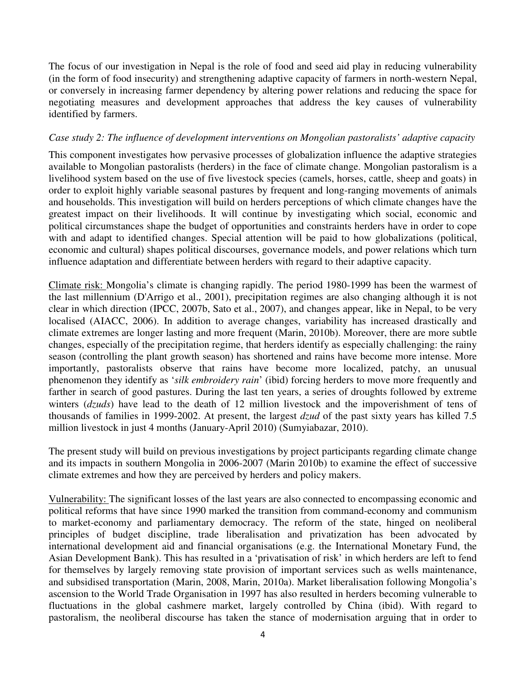The focus of our investigation in Nepal is the role of food and seed aid play in reducing vulnerability (in the form of food insecurity) and strengthening adaptive capacity of farmers in north-western Nepal, or conversely in increasing farmer dependency by altering power relations and reducing the space for negotiating measures and development approaches that address the key causes of vulnerability identified by farmers.

### *Case study 2: The influence of development interventions on Mongolian pastoralists' adaptive capacity*

This component investigates how pervasive processes of globalization influence the adaptive strategies available to Mongolian pastoralists (herders) in the face of climate change. Mongolian pastoralism is a livelihood system based on the use of five livestock species (camels, horses, cattle, sheep and goats) in order to exploit highly variable seasonal pastures by frequent and long-ranging movements of animals and households. This investigation will build on herders perceptions of which climate changes have the greatest impact on their livelihoods. It will continue by investigating which social, economic and political circumstances shape the budget of opportunities and constraints herders have in order to cope with and adapt to identified changes. Special attention will be paid to how globalizations (political, economic and cultural) shapes political discourses, governance models, and power relations which turn influence adaptation and differentiate between herders with regard to their adaptive capacity.

Climate risk: Mongolia's climate is changing rapidly. The period 1980-1999 has been the warmest of the last millennium (D'Arrigo et al., 2001), precipitation regimes are also changing although it is not clear in which direction (IPCC, 2007b, Sato et al., 2007), and changes appear, like in Nepal, to be very localised (AIACC, 2006). In addition to average changes, variability has increased drastically and climate extremes are longer lasting and more frequent (Marin, 2010b). Moreover, there are more subtle changes, especially of the precipitation regime, that herders identify as especially challenging: the rainy season (controlling the plant growth season) has shortened and rains have become more intense. More importantly, pastoralists observe that rains have become more localized, patchy, an unusual phenomenon they identify as '*silk embroidery rain*' (ibid) forcing herders to move more frequently and farther in search of good pastures. During the last ten years, a series of droughts followed by extreme winters (*dzuds*) have lead to the death of 12 million livestock and the impoverishment of tens of thousands of families in 1999-2002. At present, the largest *dzud* of the past sixty years has killed 7.5 million livestock in just 4 months (January-April 2010) (Sumyiabazar, 2010).

The present study will build on previous investigations by project participants regarding climate change and its impacts in southern Mongolia in 2006-2007 (Marin 2010b) to examine the effect of successive climate extremes and how they are perceived by herders and policy makers.

Vulnerability: The significant losses of the last years are also connected to encompassing economic and political reforms that have since 1990 marked the transition from command-economy and communism to market-economy and parliamentary democracy. The reform of the state, hinged on neoliberal principles of budget discipline, trade liberalisation and privatization has been advocated by international development aid and financial organisations (e.g. the International Monetary Fund, the Asian Development Bank). This has resulted in a 'privatisation of risk' in which herders are left to fend for themselves by largely removing state provision of important services such as wells maintenance, and subsidised transportation (Marin, 2008, Marin, 2010a). Market liberalisation following Mongolia's ascension to the World Trade Organisation in 1997 has also resulted in herders becoming vulnerable to fluctuations in the global cashmere market, largely controlled by China (ibid). With regard to pastoralism, the neoliberal discourse has taken the stance of modernisation arguing that in order to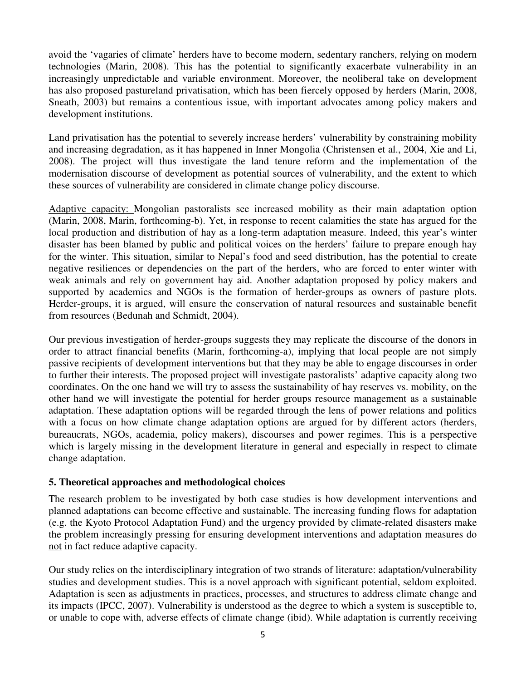avoid the 'vagaries of climate' herders have to become modern, sedentary ranchers, relying on modern technologies (Marin, 2008). This has the potential to significantly exacerbate vulnerability in an increasingly unpredictable and variable environment. Moreover, the neoliberal take on development has also proposed pastureland privatisation, which has been fiercely opposed by herders (Marin, 2008, Sneath, 2003) but remains a contentious issue, with important advocates among policy makers and development institutions.

Land privatisation has the potential to severely increase herders' vulnerability by constraining mobility and increasing degradation, as it has happened in Inner Mongolia (Christensen et al., 2004, Xie and Li, 2008). The project will thus investigate the land tenure reform and the implementation of the modernisation discourse of development as potential sources of vulnerability, and the extent to which these sources of vulnerability are considered in climate change policy discourse.

Adaptive capacity: Mongolian pastoralists see increased mobility as their main adaptation option (Marin, 2008, Marin, forthcoming-b). Yet, in response to recent calamities the state has argued for the local production and distribution of hay as a long-term adaptation measure. Indeed, this year's winter disaster has been blamed by public and political voices on the herders' failure to prepare enough hay for the winter. This situation, similar to Nepal's food and seed distribution, has the potential to create negative resiliences or dependencies on the part of the herders, who are forced to enter winter with weak animals and rely on government hay aid. Another adaptation proposed by policy makers and supported by academics and NGOs is the formation of herder-groups as owners of pasture plots. Herder-groups, it is argued, will ensure the conservation of natural resources and sustainable benefit from resources (Bedunah and Schmidt, 2004).

Our previous investigation of herder-groups suggests they may replicate the discourse of the donors in order to attract financial benefits (Marin, forthcoming-a), implying that local people are not simply passive recipients of development interventions but that they may be able to engage discourses in order to further their interests. The proposed project will investigate pastoralists' adaptive capacity along two coordinates. On the one hand we will try to assess the sustainability of hay reserves vs. mobility, on the other hand we will investigate the potential for herder groups resource management as a sustainable adaptation. These adaptation options will be regarded through the lens of power relations and politics with a focus on how climate change adaptation options are argued for by different actors (herders, bureaucrats, NGOs, academia, policy makers), discourses and power regimes. This is a perspective which is largely missing in the development literature in general and especially in respect to climate change adaptation.

### **5. Theoretical approaches and methodological choices**

The research problem to be investigated by both case studies is how development interventions and planned adaptations can become effective and sustainable. The increasing funding flows for adaptation (e.g. the Kyoto Protocol Adaptation Fund) and the urgency provided by climate-related disasters make the problem increasingly pressing for ensuring development interventions and adaptation measures do not in fact reduce adaptive capacity.

Our study relies on the interdisciplinary integration of two strands of literature: adaptation/vulnerability studies and development studies. This is a novel approach with significant potential, seldom exploited. Adaptation is seen as adjustments in practices, processes, and structures to address climate change and its impacts (IPCC, 2007). Vulnerability is understood as the degree to which a system is susceptible to, or unable to cope with, adverse effects of climate change (ibid). While adaptation is currently receiving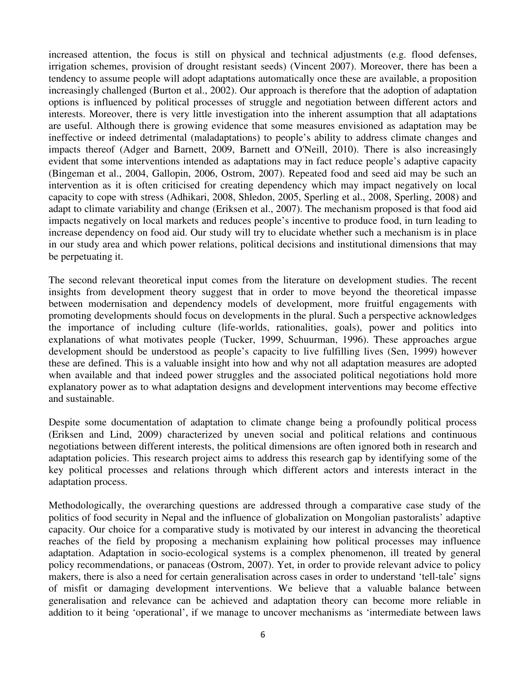increased attention, the focus is still on physical and technical adjustments (e.g. flood defenses, irrigation schemes, provision of drought resistant seeds) (Vincent 2007). Moreover, there has been a tendency to assume people will adopt adaptations automatically once these are available, a proposition increasingly challenged (Burton et al., 2002). Our approach is therefore that the adoption of adaptation options is influenced by political processes of struggle and negotiation between different actors and interests. Moreover, there is very little investigation into the inherent assumption that all adaptations are useful. Although there is growing evidence that some measures envisioned as adaptation may be ineffective or indeed detrimental (maladaptations) to people's ability to address climate changes and impacts thereof (Adger and Barnett, 2009, Barnett and O'Neill, 2010). There is also increasingly evident that some interventions intended as adaptations may in fact reduce people's adaptive capacity (Bingeman et al., 2004, Gallopin, 2006, Ostrom, 2007). Repeated food and seed aid may be such an intervention as it is often criticised for creating dependency which may impact negatively on local capacity to cope with stress (Adhikari, 2008, Shledon, 2005, Sperling et al., 2008, Sperling, 2008) and adapt to climate variability and change (Eriksen et al., 2007). The mechanism proposed is that food aid impacts negatively on local markets and reduces people's incentive to produce food, in turn leading to increase dependency on food aid. Our study will try to elucidate whether such a mechanism is in place in our study area and which power relations, political decisions and institutional dimensions that may be perpetuating it.

The second relevant theoretical input comes from the literature on development studies. The recent insights from development theory suggest that in order to move beyond the theoretical impasse between modernisation and dependency models of development, more fruitful engagements with promoting developments should focus on developments in the plural. Such a perspective acknowledges the importance of including culture (life-worlds, rationalities, goals), power and politics into explanations of what motivates people (Tucker, 1999, Schuurman, 1996). These approaches argue development should be understood as people's capacity to live fulfilling lives (Sen, 1999) however these are defined. This is a valuable insight into how and why not all adaptation measures are adopted when available and that indeed power struggles and the associated political negotiations hold more explanatory power as to what adaptation designs and development interventions may become effective and sustainable.

Despite some documentation of adaptation to climate change being a profoundly political process (Eriksen and Lind, 2009) characterized by uneven social and political relations and continuous negotiations between different interests, the political dimensions are often ignored both in research and adaptation policies. This research project aims to address this research gap by identifying some of the key political processes and relations through which different actors and interests interact in the adaptation process.

Methodologically, the overarching questions are addressed through a comparative case study of the politics of food security in Nepal and the influence of globalization on Mongolian pastoralists' adaptive capacity. Our choice for a comparative study is motivated by our interest in advancing the theoretical reaches of the field by proposing a mechanism explaining how political processes may influence adaptation. Adaptation in socio-ecological systems is a complex phenomenon, ill treated by general policy recommendations, or panaceas (Ostrom, 2007). Yet, in order to provide relevant advice to policy makers, there is also a need for certain generalisation across cases in order to understand 'tell-tale' signs of misfit or damaging development interventions. We believe that a valuable balance between generalisation and relevance can be achieved and adaptation theory can become more reliable in addition to it being 'operational', if we manage to uncover mechanisms as 'intermediate between laws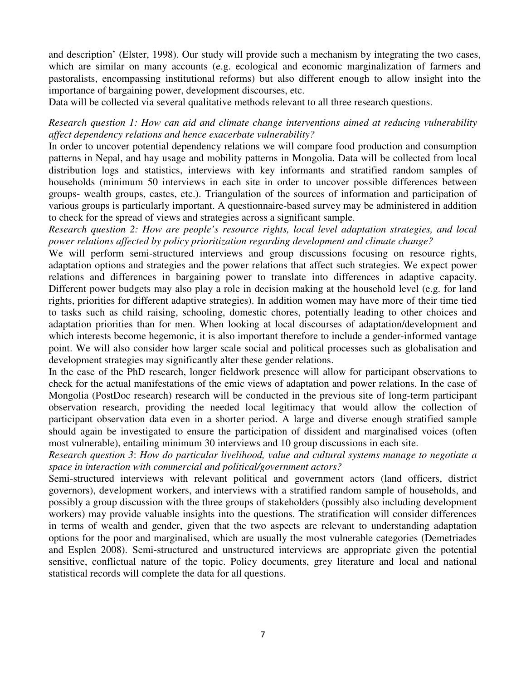and description' (Elster, 1998). Our study will provide such a mechanism by integrating the two cases, which are similar on many accounts (e.g. ecological and economic marginalization of farmers and pastoralists, encompassing institutional reforms) but also different enough to allow insight into the importance of bargaining power, development discourses, etc.

Data will be collected via several qualitative methods relevant to all three research questions.

## *Research question 1: How can aid and climate change interventions aimed at reducing vulnerability affect dependency relations and hence exacerbate vulnerability?*

In order to uncover potential dependency relations we will compare food production and consumption patterns in Nepal, and hay usage and mobility patterns in Mongolia. Data will be collected from local distribution logs and statistics, interviews with key informants and stratified random samples of households (minimum 50 interviews in each site in order to uncover possible differences between groups- wealth groups, castes, etc.). Triangulation of the sources of information and participation of various groups is particularly important. A questionnaire-based survey may be administered in addition to check for the spread of views and strategies across a significant sample.

*Research question 2: How are people's resource rights, local level adaptation strategies, and local power relations affected by policy prioritization regarding development and climate change?*

We will perform semi-structured interviews and group discussions focusing on resource rights, adaptation options and strategies and the power relations that affect such strategies. We expect power relations and differences in bargaining power to translate into differences in adaptive capacity. Different power budgets may also play a role in decision making at the household level (e.g. for land rights, priorities for different adaptive strategies). In addition women may have more of their time tied to tasks such as child raising, schooling, domestic chores, potentially leading to other choices and adaptation priorities than for men. When looking at local discourses of adaptation/development and which interests become hegemonic, it is also important therefore to include a gender-informed vantage point. We will also consider how larger scale social and political processes such as globalisation and development strategies may significantly alter these gender relations.

In the case of the PhD research, longer fieldwork presence will allow for participant observations to check for the actual manifestations of the emic views of adaptation and power relations. In the case of Mongolia (PostDoc research) research will be conducted in the previous site of long-term participant observation research, providing the needed local legitimacy that would allow the collection of participant observation data even in a shorter period. A large and diverse enough stratified sample should again be investigated to ensure the participation of dissident and marginalised voices (often most vulnerable), entailing minimum 30 interviews and 10 group discussions in each site.

*Research question 3*: *How do particular livelihood, value and cultural systems manage to negotiate a space in interaction with commercial and political/government actors?*

Semi-structured interviews with relevant political and government actors (land officers, district governors), development workers, and interviews with a stratified random sample of households, and possibly a group discussion with the three groups of stakeholders (possibly also including development workers) may provide valuable insights into the questions. The stratification will consider differences in terms of wealth and gender, given that the two aspects are relevant to understanding adaptation options for the poor and marginalised, which are usually the most vulnerable categories (Demetriades and Esplen 2008). Semi-structured and unstructured interviews are appropriate given the potential sensitive, conflictual nature of the topic. Policy documents, grey literature and local and national statistical records will complete the data for all questions.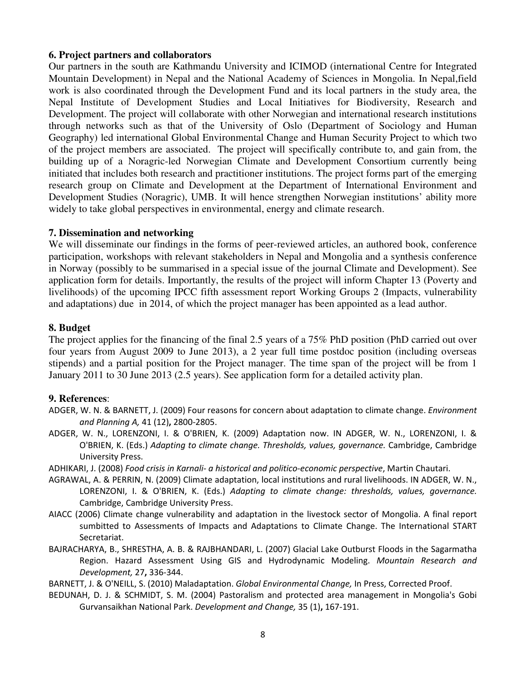### **6. Project partners and collaborators**

Our partners in the south are Kathmandu University and ICIMOD (international Centre for Integrated Mountain Development) in Nepal and the National Academy of Sciences in Mongolia. In Nepal,field work is also coordinated through the Development Fund and its local partners in the study area, the Nepal Institute of Development Studies and Local Initiatives for Biodiversity, Research and Development. The project will collaborate with other Norwegian and international research institutions through networks such as that of the University of Oslo (Department of Sociology and Human Geography) led international Global Environmental Change and Human Security Project to which two of the project members are associated. The project will specifically contribute to, and gain from, the building up of a Noragric-led Norwegian Climate and Development Consortium currently being initiated that includes both research and practitioner institutions. The project forms part of the emerging research group on Climate and Development at the Department of International Environment and Development Studies (Noragric), UMB. It will hence strengthen Norwegian institutions' ability more widely to take global perspectives in environmental, energy and climate research.

#### **7. Dissemination and networking**

We will disseminate our findings in the forms of peer-reviewed articles, an authored book, conference participation, workshops with relevant stakeholders in Nepal and Mongolia and a synthesis conference in Norway (possibly to be summarised in a special issue of the journal Climate and Development). See application form for details. Importantly, the results of the project will inform Chapter 13 (Poverty and livelihoods) of the upcoming IPCC fifth assessment report Working Groups 2 (Impacts, vulnerability and adaptations) due in 2014, of which the project manager has been appointed as a lead author.

### **8. Budget**

The project applies for the financing of the final 2.5 years of a 75% PhD position (PhD carried out over four years from August 2009 to June 2013), a 2 year full time postdoc position (including overseas stipends) and a partial position for the Project manager. The time span of the project will be from 1 January 2011 to 30 June 2013 (2.5 years). See application form for a detailed activity plan.

#### **9. References**:

- ADGER, W. N. & BARNETT, J. (2009) Four reasons for concern about adaptation to climate change. *Environment* and Planning A, 41 (12), 2800-2805.
- ADGER, W. N., LORENZONI, I. & O'BRIEN, K. (2009) Adaptation now. IN ADGER, W. N., LORENZONI, I. & O'BRIEN, K. (Eds.) Adapting to climate change. Thresholds, values, governance. Cambridge, Cambridge University Press.
- ADHIKARI, J. (2008) Food crisis in Karnali- a historical and politico-economic perspective, Martin Chautari.
- AGRAWAL, A. & PERRIN, N. (2009) Climate adaptation, local institutions and rural livelihoods. IN ADGER, W. N., LORENZONI, I. & O'BRIEN, K. (Eds.) Adapting to climate change: thresholds, values, governance. Cambridge, Cambridge University Press.
- AIACC (2006) Climate change vulnerability and adaptation in the livestock sector of Mongolia. A final report sumbitted to Assessments of Impacts and Adaptations to Climate Change. The International START Secretariat.
- BAJRACHARYA, B., SHRESTHA, A. B. & RAJBHANDARI, L. (2007) Glacial Lake Outburst Floods in the Sagarmatha Region. Hazard Assessment Using GIS and Hydrodynamic Modeling. Mountain Research and Development, 27, 336-344.

BARNETT, J. & O'NEILL, S. (2010) Maladaptation. Global Environmental Change, In Press, Corrected Proof.

BEDUNAH, D. J. & SCHMIDT, S. M. (2004) Pastoralism and protected area management in Mongolia's Gobi Gurvansaikhan National Park. Development and Change, 35 (1), 167-191.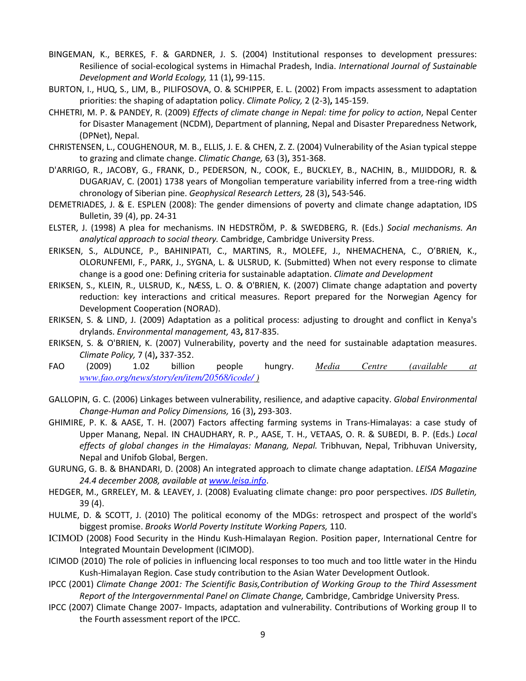- BINGEMAN, K., BERKES, F. & GARDNER, J. S. (2004) Institutional responses to development pressures: Resilience of social-ecological systems in Himachal Pradesh, India. International Journal of Sustainable Development and World Ecology, 11 (1), 99-115.
- BURTON, I., HUQ, S., LIM, B., PILIFOSOVA, O. & SCHIPPER, E. L. (2002) From impacts assessment to adaptation priorities: the shaping of adaptation policy. Climate Policy, 2 (2-3), 145-159.
- CHHETRI, M. P. & PANDEY, R. (2009) Effects of climate change in Nepal: time for policy to action, Nepal Center for Disaster Management (NCDM), Department of planning, Nepal and Disaster Preparedness Network, (DPNet), Nepal.
- CHRISTENSEN, L., COUGHENOUR, M. B., ELLIS, J. E. & CHEN, Z. Z. (2004) Vulnerability of the Asian typical steppe to grazing and climate change. Climatic Change, 63 (3), 351-368.
- D'ARRIGO, R., JACOBY, G., FRANK, D., PEDERSON, N., COOK, E., BUCKLEY, B., NACHIN, B., MIJIDDORJ, R. & DUGARJAV, C. (2001) 1738 years of Mongolian temperature variability inferred from a tree-ring width chronology of Siberian pine. Geophysical Research Letters, 28 (3), 543-546.
- DEMETRIADES, J. & E. ESPLEN (2008): The gender dimensions of poverty and climate change adaptation, IDS Bulletin, 39 (4), pp. 24-31
- ELSTER, J. (1998) A plea for mechanisms. IN HEDSTRÖM, P. & SWEDBERG, R. (Eds.) Social mechanisms. An analytical approach to social theory. Cambridge, Cambridge University Press.
- ERIKSEN, S., ALDUNCE, P., BAHINIPATI, C., MARTINS, R., MOLEFE, J., NHEMACHENA, C., O'BRIEN, K., OLORUNFEMI, F., PARK, J., SYGNA, L. & ULSRUD, K. (Submitted) When not every response to climate change is a good one: Defining criteria for sustainable adaptation. Climate and Development
- ERIKSEN, S., KLEIN, R., ULSRUD, K., NÆSS, L. O. & O'BRIEN, K. (2007) Climate change adaptation and poverty reduction: key interactions and critical measures. Report prepared for the Norwegian Agency for Development Cooperation (NORAD).
- ERIKSEN, S. & LIND, J. (2009) Adaptation as a political process: adjusting to drought and conflict in Kenya's drylands. Environmental management, 43, 817-835.
- ERIKSEN, S. & O'BRIEN, K. (2007) Vulnerability, poverty and the need for sustainable adaptation measures. Climate Policy, 7 (4), 337-352.
- FAO (2009) 1.02 billion people hungry. *Media Centre (available at www.fao.org/news/story/en/item/20568/icode/ )*
- GALLOPIN, G. C. (2006) Linkages between vulnerability, resilience, and adaptive capacity. Global Environmental Change-Human and Policy Dimensions, 16 (3), 293-303.
- GHIMIRE, P. K. & AASE, T. H. (2007) Factors affecting farming systems in Trans-Himalayas: a case study of Upper Manang, Nepal. IN CHAUDHARY, R. P., AASE, T. H., VETAAS, O. R. & SUBEDI, B. P. (Eds.) Local effects of global changes in the Himalayas: Manang, Nepal. Tribhuvan, Nepal, Tribhuvan University, Nepal and Unifob Global, Bergen.
- GURUNG, G. B. & BHANDARI, D. (2008) An integrated approach to climate change adaptation. LEISA Magazine 24.4 december 2008, available at www.leisa.info.
- HEDGER, M., GRRELEY, M. & LEAVEY, J. (2008) Evaluating climate change: pro poor perspectives. IDS Bulletin, 39 (4).
- HULME, D. & SCOTT, J. (2010) The political economy of the MDGs: retrospect and prospect of the world's biggest promise. Brooks World Poverty Institute Working Papers, 110.
- ICIMOD (2008) Food Security in the Hindu Kush-Himalayan Region. Position paper, International Centre for Integrated Mountain Development (ICIMOD).
- ICIMOD (2010) The role of policies in influencing local responses to too much and too little water in the Hindu Kush-Himalayan Region. Case study contribution to the Asian Water Development Outlook.
- IPCC (2001) Climate Change 2001: The Scientific Basis,Contribution of Working Group to the Third Assessment Report of the Intergovernmental Panel on Climate Change, Cambridge, Cambridge University Press.
- IPCC (2007) Climate Change 2007- Impacts, adaptation and vulnerability. Contributions of Working group II to the Fourth assessment report of the IPCC.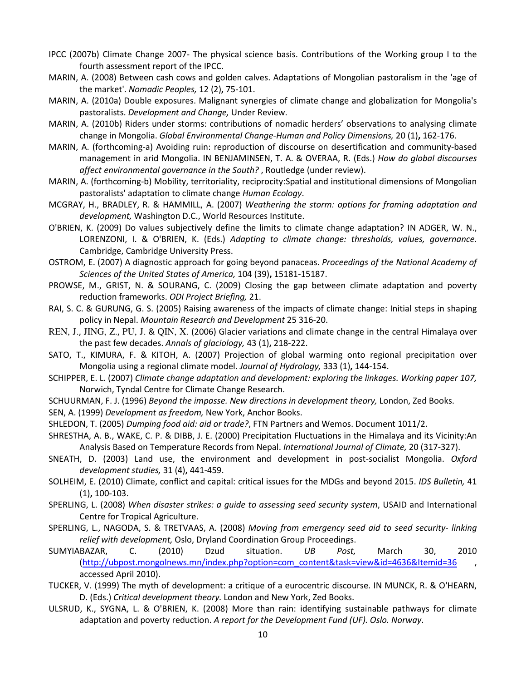- IPCC (2007b) Climate Change 2007- The physical science basis. Contributions of the Working group I to the fourth assessment report of the IPCC.
- MARIN, A. (2008) Between cash cows and golden calves. Adaptations of Mongolian pastoralism in the 'age of the market'. Nomadic Peoples, 12 (2), 75-101.
- MARIN, A. (2010a) Double exposures. Malignant synergies of climate change and globalization for Mongolia's pastoralists. Development and Change, Under Review.
- MARIN, A. (2010b) Riders under storms: contributions of nomadic herders' observations to analysing climate change in Mongolia. Global Environmental Change-Human and Policy Dimensions, 20 (1), 162-176.
- MARIN, A. (forthcoming-a) Avoiding ruin: reproduction of discourse on desertification and community-based management in arid Mongolia. IN BENJAMINSEN, T. A. & OVERAA, R. (Eds.) How do global discourses affect environmental governance in the South? , Routledge (under review).
- MARIN, A. (forthcoming-b) Mobility, territoriality, reciprocity:Spatial and institutional dimensions of Mongolian pastoralists' adaptation to climate change Human Ecology.
- MCGRAY, H., BRADLEY, R. & HAMMILL, A. (2007) Weathering the storm: options for framing adaptation and development, Washington D.C., World Resources Institute.
- O'BRIEN, K. (2009) Do values subjectively define the limits to climate change adaptation? IN ADGER, W. N., LORENZONI, I. & O'BRIEN, K. (Eds.) Adapting to climate change: thresholds, values, governance. Cambridge, Cambridge University Press.
- OSTROM, E. (2007) A diagnostic approach for going beyond panaceas. Proceedings of the National Academy of Sciences of the United States of America, 104 (39), 15181-15187.
- PROWSE, M., GRIST, N. & SOURANG, C. (2009) Closing the gap between climate adaptation and poverty reduction frameworks. ODI Project Briefing, 21.
- RAI, S. C. & GURUNG, G. S. (2005) Raising awareness of the impacts of climate change: Initial steps in shaping policy in Nepal. Mountain Research and Development 25 316-20.
- REN, J., JING, Z., PU, J. & QIN, X. (2006) Glacier variations and climate change in the central Himalaya over the past few decades. Annals of glaciology, 43 (1), 218-222.
- SATO, T., KIMURA, F. & KITOH, A. (2007) Projection of global warming onto regional precipitation over Mongolia using a regional climate model. Journal of Hydrology, 333 (1), 144-154.
- SCHIPPER, E. L. (2007) Climate change adaptation and development: exploring the linkages. Working paper 107, Norwich, Tyndal Centre for Climate Change Research.
- SCHUURMAN, F. J. (1996) Beyond the impasse. New directions in development theory, London, Zed Books.
- SEN, A. (1999) Development as freedom, New York, Anchor Books.
- SHLEDON, T. (2005) Dumping food aid: aid or trade?, FTN Partners and Wemos. Document 1011/2.
- SHRESTHA, A. B., WAKE, C. P. & DIBB, J. E. (2000) Precipitation Fluctuations in the Himalaya and its Vicinity:An Analysis Based on Temperature Records from Nepal. International Journal of Climate, 20 (317-327).
- SNEATH, D. (2003) Land use, the environment and development in post-socialist Mongolia. Oxford development studies, 31 (4), 441-459.
- SOLHEIM, E. (2010) Climate, conflict and capital: critical issues for the MDGs and beyond 2015. IDS Bulletin, 41 (1), 100-103.
- SPERLING, L. (2008) When disaster strikes: a guide to assessing seed security system, USAID and International Centre for Tropical Agriculture.
- SPERLING, L., NAGODA, S. & TRETVAAS, A. (2008) Moving from emergency seed aid to seed security- linking relief with development, Oslo, Dryland Coordination Group Proceedings.
- SUMYIABAZAR, C. (2010) Dzud situation. UB Post, March 30, 2010 (http://ubpost.mongolnews.mn/index.php?option=com\_content&task=view&id=4636&Itemid=36 , accessed April 2010).
- TUCKER, V. (1999) The myth of development: a critique of a eurocentric discourse. IN MUNCK, R. & O'HEARN, D. (Eds.) Critical development theory. London and New York, Zed Books.
- ULSRUD, K., SYGNA, L. & O'BRIEN, K. (2008) More than rain: identifying sustainable pathways for climate adaptation and poverty reduction. A report for the Development Fund (UF). Oslo. Norway.